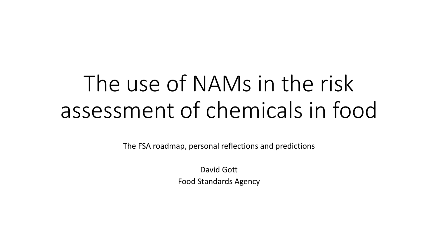# The use of NAMs in the risk assessment of chemicals in food

The FSA roadmap, personal reflections and predictions

David Gott Food Standards Agency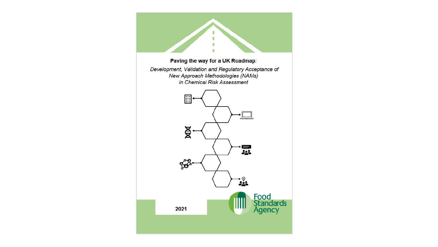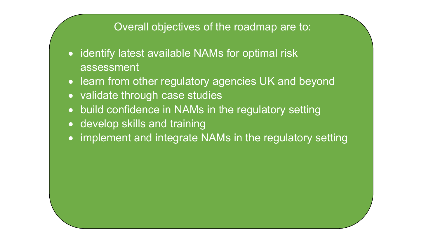#### Overall objectives of the roadmap are to:

- identify latest available NAMs for optimal risk assessment
- learn from other regulatory agencies UK and beyond
- validate through case studies
- build confidence in NAMs in the regulatory setting
- develop skills and training
- implement and integrate NAMs in the regulatory setting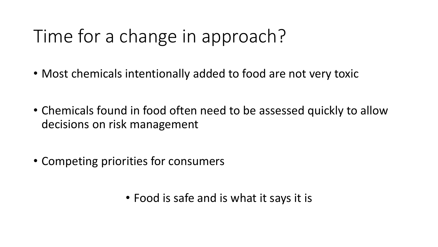# Time for a change in approach?

- Most chemicals intentionally added to food are not very toxic
- Chemicals found in food often need to be assessed quickly to allow decisions on risk management
- Competing priorities for consumers

• Food is safe and is what it says it is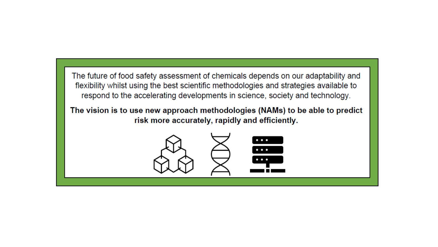The future of food safety assessment of chemicals depends on our adaptability and flexibility whilst using the best scientific methodologies and strategies available to respond to the accelerating developments in science, society and technology.

The vision is to use new approach methodologies (NAMs) to be able to predict risk more accurately, rapidly and efficiently.

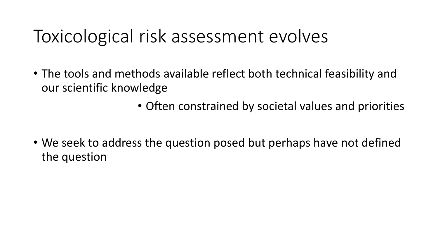### Toxicological risk assessment evolves

- The tools and methods available reflect both technical feasibility and our scientific knowledge
	- Often constrained by societal values and priorities
- We seek to address the question posed but perhaps have not defined the question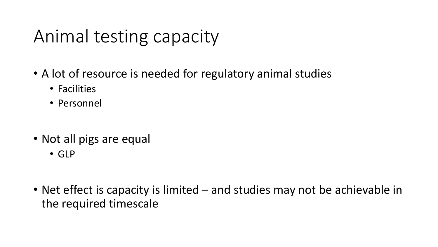# Animal testing capacity

- A lot of resource is needed for regulatory animal studies
	- Facilities
	- Personnel
- Not all pigs are equal
	- GLP
- Net effect is capacity is limited and studies may not be achievable in the required timescale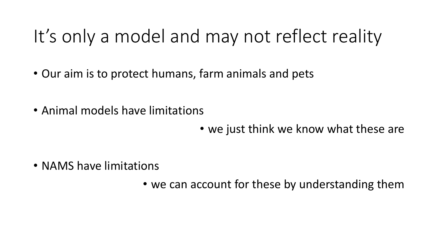# It's only a model and may not reflect reality

- Our aim is to protect humans, farm animals and pets
- Animal models have limitations
	- we just think we know what these are

• NAMS have limitations

• we can account for these by understanding them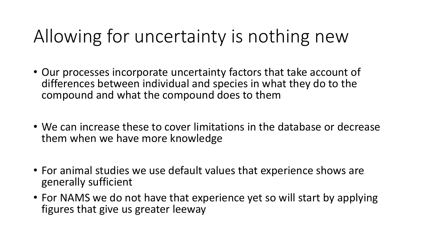# Allowing for uncertainty is nothing new

- Our processes incorporate uncertainty factors that take account of differences between individual and species in what they do to the compound and what the compound does to them
- We can increase these to cover limitations in the database or decrease them when we have more knowledge
- For animal studies we use default values that experience shows are generally sufficient
- For NAMS we do not have that experience yet so will start by applying figures that give us greater leeway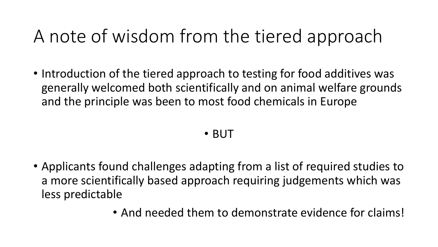# A note of wisdom from the tiered approach

• Introduction of the tiered approach to testing for food additives was generally welcomed both scientifically and on animal welfare grounds and the principle was been to most food chemicals in Europe

#### • BUT

- Applicants found challenges adapting from a list of required studies to a more scientifically based approach requiring judgements which was less predictable
	- And needed them to demonstrate evidence for claims!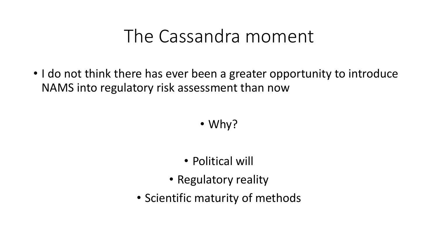### The Cassandra moment

• I do not think there has ever been a greater opportunity to introduce NAMS into regulatory risk assessment than now

#### • Why?

- Political will
- Regulatory reality
- Scientific maturity of methods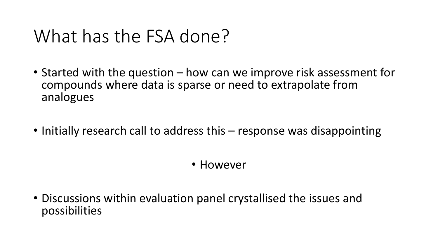### What has the FSA done?

- Started with the question how can we improve risk assessment for compounds where data is sparse or need to extrapolate from analogues
- Initially research call to address this response was disappointing

• However

• Discussions within evaluation panel crystallised the issues and possibilities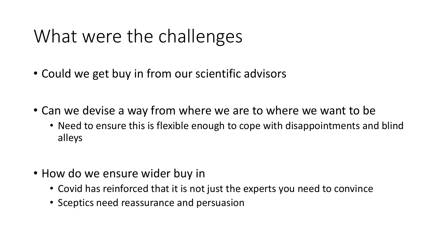# What were the challenges

- Could we get buy in from our scientific advisors
- Can we devise a way from where we are to where we want to be
	- Need to ensure this is flexible enough to cope with disappointments and blind alleys
- How do we ensure wider buy in
	- Covid has reinforced that it is not just the experts you need to convince
	- Sceptics need reassurance and persuasion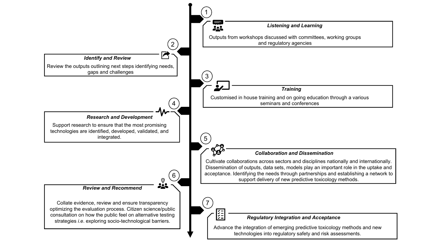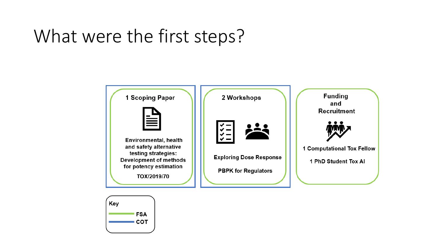# What were the first steps?



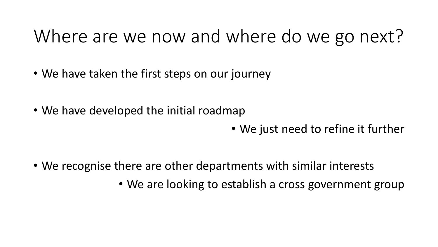### Where are we now and where do we go next?

- We have taken the first steps on our journey
- We have developed the initial roadmap
	- We just need to refine it further
- We recognise there are other departments with similar interests
	- We are looking to establish a cross government group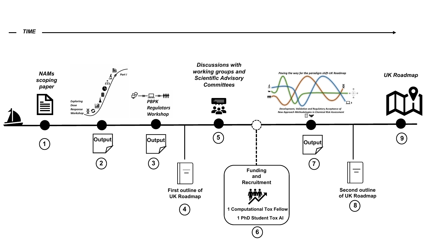

*TIME*